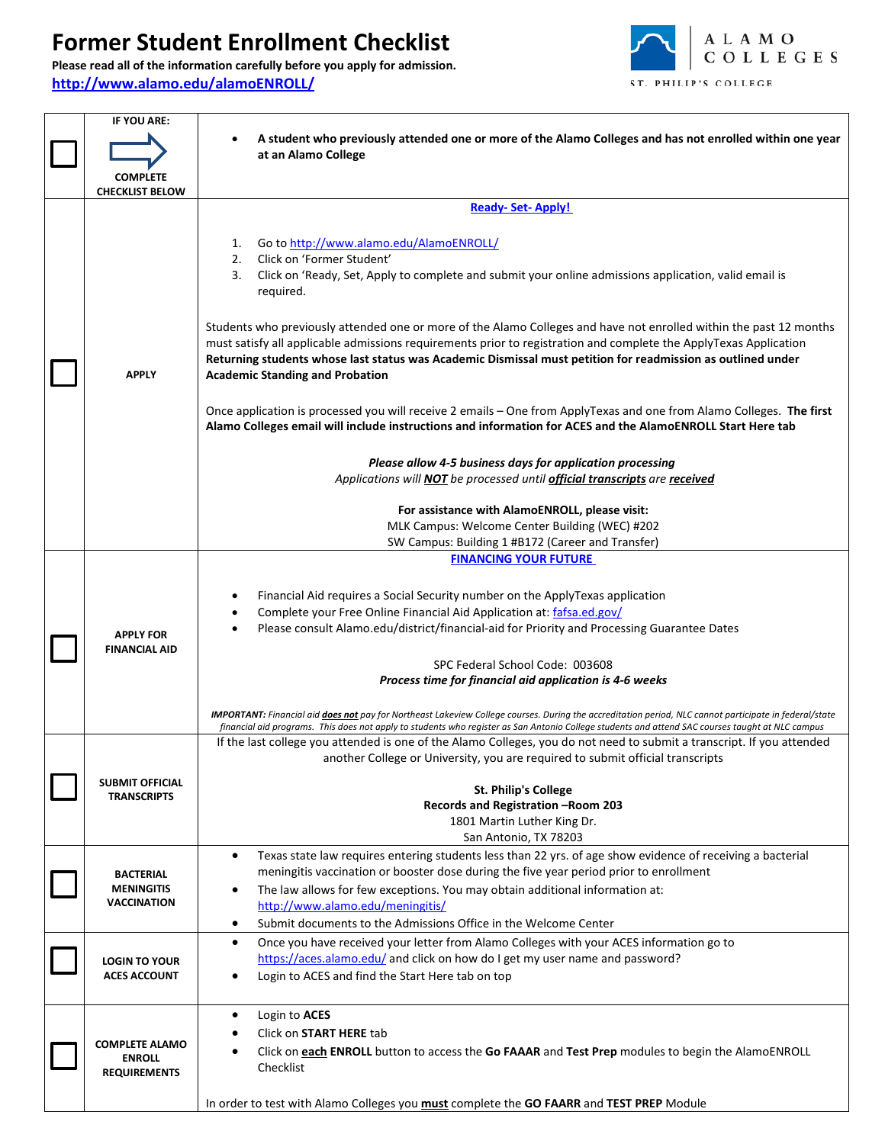## **Former Student Enrollment Checklist**

**Please read all of the information carefully before you apply for admission. <http://www.alamo.edu/alamoENROLL/>**



| IF YOU ARE:                                                   |                                                                                                                                                                                                                                                                                                                                                                                                                                                                                                               |
|---------------------------------------------------------------|---------------------------------------------------------------------------------------------------------------------------------------------------------------------------------------------------------------------------------------------------------------------------------------------------------------------------------------------------------------------------------------------------------------------------------------------------------------------------------------------------------------|
| <b>COMPLETE</b><br><b>CHECKLIST BELOW</b>                     | A student who previously attended one or more of the Alamo Colleges and has not enrolled within one year<br>at an Alamo College                                                                                                                                                                                                                                                                                                                                                                               |
|                                                               | <b>Ready-Set-Apply!</b>                                                                                                                                                                                                                                                                                                                                                                                                                                                                                       |
|                                                               | Go to http://www.alamo.edu/AlamoENROLL/<br>1.<br>Click on 'Former Student'<br>2.<br>Click on 'Ready, Set, Apply to complete and submit your online admissions application, valid email is<br>3.<br>required.                                                                                                                                                                                                                                                                                                  |
| <b>APPLY</b>                                                  | Students who previously attended one or more of the Alamo Colleges and have not enrolled within the past 12 months<br>must satisfy all applicable admissions requirements prior to registration and complete the ApplyTexas Application<br>Returning students whose last status was Academic Dismissal must petition for readmission as outlined under<br><b>Academic Standing and Probation</b>                                                                                                              |
|                                                               | Once application is processed you will receive 2 emails - One from ApplyTexas and one from Alamo Colleges. The first<br>Alamo Colleges email will include instructions and information for ACES and the AlamoENROLL Start Here tab                                                                                                                                                                                                                                                                            |
|                                                               | Please allow 4-5 business days for application processing<br>Applications will <b>NOT</b> be processed until <b>official transcripts</b> are <b>received</b>                                                                                                                                                                                                                                                                                                                                                  |
|                                                               | For assistance with AlamoENROLL, please visit:<br>MLK Campus: Welcome Center Building (WEC) #202<br>SW Campus: Building 1 #B172 (Career and Transfer)                                                                                                                                                                                                                                                                                                                                                         |
|                                                               | <b>FINANCING YOUR FUTURE</b>                                                                                                                                                                                                                                                                                                                                                                                                                                                                                  |
| <b>APPLY FOR</b><br><b>FINANCIAL AID</b>                      | Financial Aid requires a Social Security number on the ApplyTexas application<br>Complete your Free Online Financial Aid Application at: fafsa.ed.gov/<br>Please consult Alamo.edu/district/financial-aid for Priority and Processing Guarantee Dates<br>SPC Federal School Code: 003608<br>Process time for financial aid application is 4-6 weeks<br>IMPORTANT: Financial aid does not pay for Northeast Lakeview College courses. During the accreditation period, NLC cannot participate in federal/state |
|                                                               | financial aid programs. This does not apply to students who register as San Antonio College students and attend SAC courses taught at NLC campus                                                                                                                                                                                                                                                                                                                                                              |
|                                                               | If the last college you attended is one of the Alamo Colleges, you do not need to submit a transcript. If you attended<br>another College or University, you are required to submit official transcripts                                                                                                                                                                                                                                                                                                      |
| <b>SUBMIT OFFICIAL</b><br><b>TRANSCRIPTS</b>                  | <b>St. Philip's College</b><br>Records and Registration -Room 203<br>1801 Martin Luther King Dr.<br>San Antonio, TX 78203                                                                                                                                                                                                                                                                                                                                                                                     |
| <b>BACTERIAL</b><br><b>MENINGITIS</b><br>VACCINATION          | Texas state law requires entering students less than 22 yrs. of age show evidence of receiving a bacterial<br>٠<br>meningitis vaccination or booster dose during the five year period prior to enrollment<br>The law allows for few exceptions. You may obtain additional information at:<br>http://www.alamo.edu/meningitis/<br>Submit documents to the Admissions Office in the Welcome Center<br>٠                                                                                                         |
| <b>LOGIN TO YOUR</b><br><b>ACES ACCOUNT</b>                   | Once you have received your letter from Alamo Colleges with your ACES information go to<br>$\bullet$<br>https://aces.alamo.edu/ and click on how do I get my user name and password?<br>Login to ACES and find the Start Here tab on top                                                                                                                                                                                                                                                                      |
| <b>COMPLETE ALAMO</b><br><b>ENROLL</b><br><b>REQUIREMENTS</b> | Login to ACES<br>Click on <b>START HERE</b> tab<br>Click on <b>each ENROLL</b> button to access the Go FAAAR and Test Prep modules to begin the AlamoENROLL<br>Checklist                                                                                                                                                                                                                                                                                                                                      |
|                                                               | In order to test with Alamo Colleges you <b>must</b> complete the GO FAARR and TEST PREP Module                                                                                                                                                                                                                                                                                                                                                                                                               |